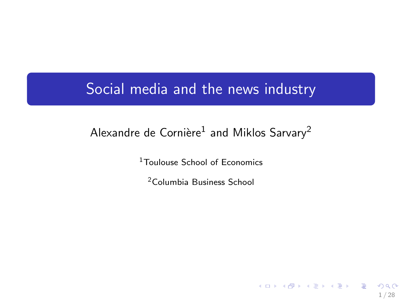# Social media and the news industry

# Alexandre de Cornière $^1$  and Miklos Sarvary $^2$

<sup>1</sup>Toulouse School of Economics

<sup>2</sup>Columbia Business School

1 / 28

イロト イ団 トイモト イモト 一毛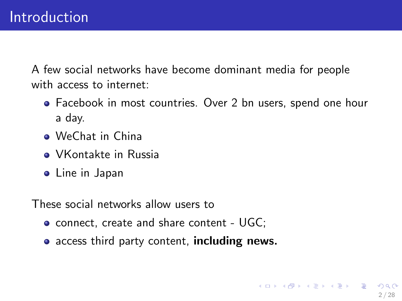A few social networks have become dominant media for people with access to internet:

- Facebook in most countries. Over 2 bn users, spend one hour a day.
- WeChat in China
- **VKontakte in Russia**
- **•** Line in Japan

These social networks allow users to

- connect, create and share content UGC;
- access third party content, including news.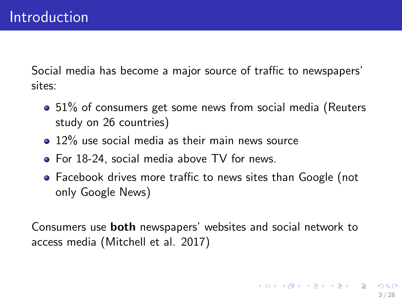Social media has become a major source of traffic to newspapers' sites:

- 51% of consumers get some news from social media (Reuters study on 26 countries)
- 12% use social media as their main news source
- For 18-24, social media above TV for news.
- Facebook drives more traffic to news sites than Google (not only Google News)

Consumers use both newspapers' websites and social network to access media (Mitchell et al. 2017)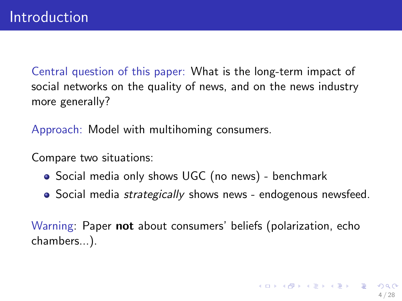Central question of this paper: What is the long-term impact of social networks on the quality of news, and on the news industry more generally?

Approach: Model with multihoming consumers.

Compare two situations:

- Social media only shows UGC (no news) benchmark
- Social media *strategically* shows news endogenous newsfeed.

Warning: Paper not about consumers' beliefs (polarization, echo chambers...).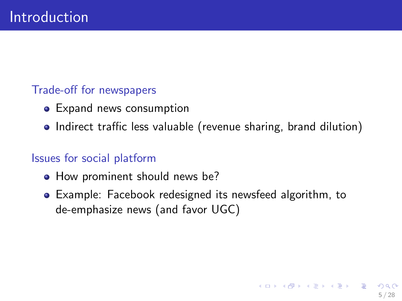## Trade-off for newspapers

- Expand news consumption
- Indirect traffic less valuable (revenue sharing, brand dilution)

## Issues for social platform

- How prominent should news be?
- Example: Facebook redesigned its newsfeed algorithm, to de-emphasize news (and favor UGC)

5 / 28

K ロ X K @ X K 경 X X 경 X X 경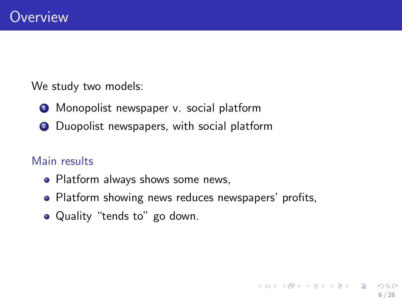We study two models:

- **1** Monopolist newspaper v. social platform
- <sup>2</sup> Duopolist newspapers, with social platform

#### Main results

- Platform always shows some news,
- Platform showing news reduces newspapers' profits,

6 / 28

イロト 不優 ト 不重 ト 不重 トー 重

• Quality "tends to" go down.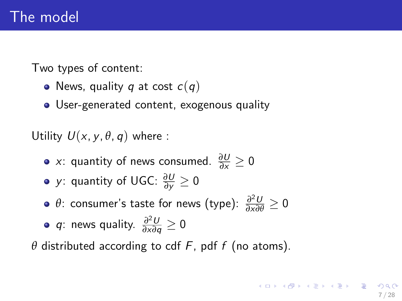Two types of content:

- News, quality q at cost  $c(q)$
- User-generated content, exogenous quality

Utility  $U(x, y, \theta, q)$  where :

- $x$ : quantity of news consumed.  $\frac{\partial U}{\partial x} \ge 0$
- y: quantity of UGC: *<sup>∂</sup>*<sup>U</sup> *<sup>∂</sup>*<sup>y</sup> ≥ <sup>0</sup>
- *θ*: consumer's taste for news (type):  $\frac{\partial^2 U}{\partial x \partial \theta} \ge 0$  $2.2.1$

• q: news quality. 
$$
\frac{\partial^2 U}{\partial x \partial q} \ge 0
$$

 $\theta$  distributed according to cdf F, pdf f (no atoms).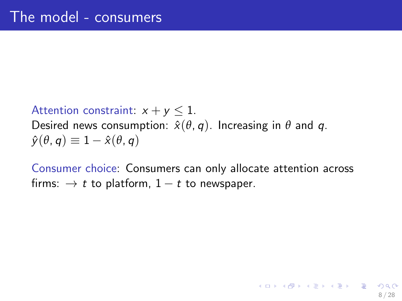Attention constraint:  $x + y \le 1$ . Desired news consumption:  $\hat{x}(\theta, q)$ . Increasing in  $\theta$  and  $q$ .  $\hat{\gamma}(\theta, q) \equiv 1 - \hat{\chi}(\theta, q)$ 

Consumer choice: Consumers can only allocate attention across firms:  $\rightarrow t$  to platform,  $1-t$  to newspaper.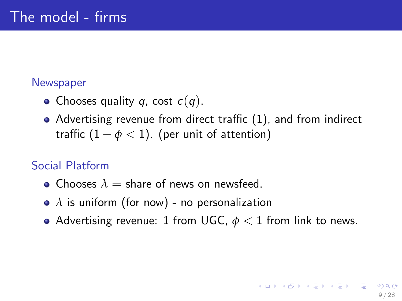#### **Newspaper**

- Chooses quality q, cost  $c(q)$ .
- Advertising revenue from direct traffic (1), and from indirect traffic  $(1 - \phi < 1)$ . (per unit of attention)

## Social Platform

- **Chooses**  $\lambda =$  share of news on newsfeed.
- *λ* is uniform (for now) no personalization
- Advertising revenue: 1 from UGC,  $\phi$  < 1 from link to news.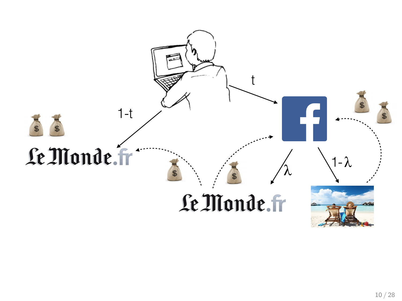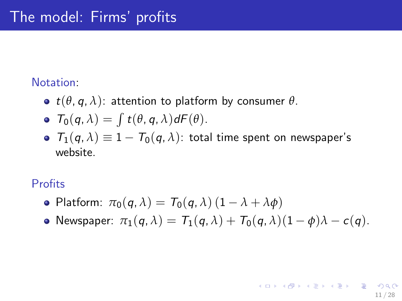#### Notation:

- $\bullet$  *t*( $\theta$ ,  $q$ ,  $\lambda$ ): attention to platform by consumer  $\theta$ .
- $T_0(q, \lambda) = \int t(\theta, q, \lambda) dF(\theta).$
- $\bullet$   $T_1(q, \lambda) \equiv 1 T_0(q, \lambda)$ : total time spent on newspaper's website.

#### Profits

- Platform:  $\pi_0(q, \lambda) = T_0(q, \lambda)(1 \lambda + \lambda \phi)$
- Newspaper:  $\pi_1(q, \lambda) = T_1(q, \lambda) + T_0(q, \lambda)(1 \phi)\lambda c(q)$ .

11 / 28

K ロ ▶ K @ ▶ K 할 > K 할 > 1 할 → 9 Q Q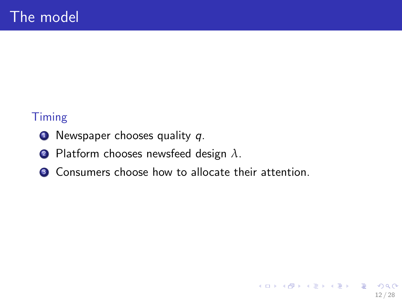### Timing

- $\bullet$  Newspaper chooses quality q.
- <sup>2</sup> Platform chooses newsfeed design *λ*.
- <sup>3</sup> Consumers choose how to allocate their attention.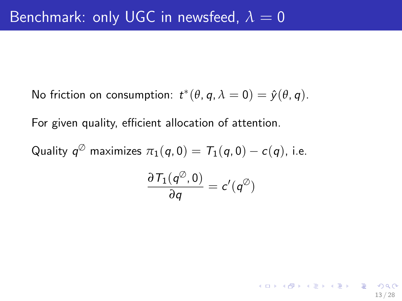No friction on consumption:  $t^*(\theta, q, \lambda = 0) = \hat{y}(\theta, q)$ .

For given quality, efficient allocation of attention.

Quality  $q^\oslash$  maximizes  $\pi_1(q,0)=\mathcal{T}_1(q,0)-c(q)$ , i.e.  $\partial$   $\mathcal{T}_1(q^\oslash,0)$  $\frac{(q, 0)}{dq} = c'(q^{\circledcirc})$ 

13 / 28

K ロ X K @ X K 할 X K 할 X - 할 X Y Q Q @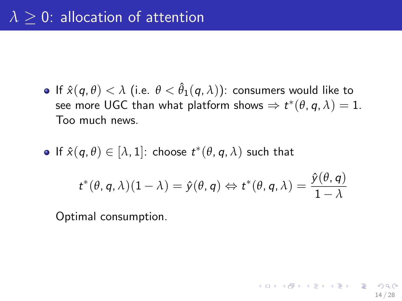**•** If  $\hat{x}(q, \theta) < \lambda$  (i.e.  $\theta < \hat{\theta}_1(q, \lambda)$ ): consumers would like to see more UGC than what platform shows  $\Rightarrow t^*(\theta, q, \lambda) = 1$ . Too much news.

• If 
$$
\hat{x}(q, \theta) \in [\lambda, 1]
$$
: choose  $t^*(\theta, q, \lambda)$  such that

$$
t^*(\theta, q, \lambda)(1 - \lambda) = \hat{y}(\theta, q) \Leftrightarrow t^*(\theta, q, \lambda) = \frac{\hat{y}(\theta, q)}{1 - \lambda}
$$

14 / 28

K ロ ▶ K @ ▶ K 할 ▶ K 할 ▶ ... 할 → 9 Q @

Optimal consumption.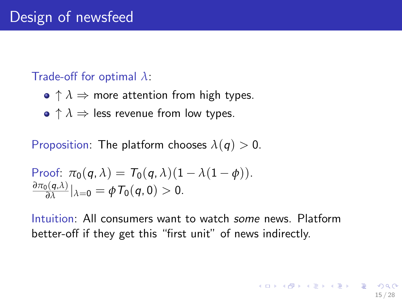#### Trade-off for optimal *λ*:

- $\bullet \uparrow \lambda \Rightarrow$  more attention from high types.
- $\bullet \uparrow \lambda \Rightarrow$  less revenue from low types.

Proposition: The platform chooses  $\lambda(q) > 0$ .

Proof: 
$$
\pi_0(q, \lambda) = T_0(q, \lambda)(1 - \lambda(1 - \phi)).
$$
  
 $\frac{\partial \pi_0(q, \lambda)}{\partial \lambda} |_{\lambda=0} = \phi T_0(q, 0) > 0.$ 

Intuition: All consumers want to watch some news. Platform better-off if they get this "first unit" of news indirectly.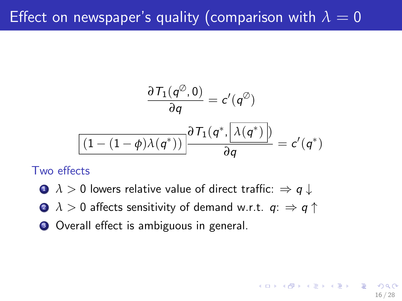# Effect on newspaper's quality (comparison with  $\lambda = 0$

$$
\frac{\partial T_1(q^{\emptyset}, 0)}{\partial q} = c'(q^{\emptyset})
$$

$$
\frac{\partial T_1(q^*, \lambda(q^*))}{\partial q} = c'(q^*)
$$

16 / 28

K ロ X K @ X K 경 X X 경 X X 경

Two effects

- $\bullet \lambda > 0$  lowers relative value of direct traffic:  $\Rightarrow q \downarrow$
- **2**  $\lambda > 0$  affects sensitivity of demand w.r.t.  $q: \Rightarrow q \uparrow$
- **3** Overall effect is ambiguous in general.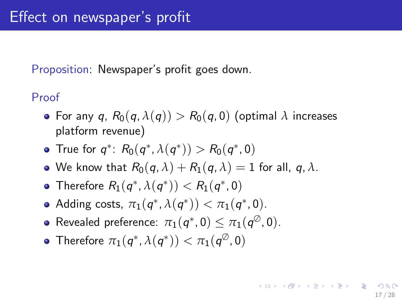Proposition: Newspaper's profit goes down.

Proof

• For any q,  $R_0(q, \lambda(q)) > R_0(q, 0)$  (optimal  $\lambda$  increases platform revenue)

17 / 28

イロト 不優 ト 不思 ト 不思 トー 理

- True for  $q^*$ :  $R_0(q^*, \lambda(q^*)) > R_0(q^*, 0)$
- We know that  $R_0(q, \lambda) + R_1(q, \lambda) = 1$  for all, q,  $\lambda$ .
- Therefore  $R_1(q^*, \lambda(q^*)) < R_1(q^*, 0)$
- Adding costs,  $\pi_1(q^*, \lambda(q^*)) < \pi_1(q^*, 0)$ .
- $\mathsf{Revealed}\ \mathsf{preference}\colon\, \pi_1(\pmb{\mathit{q}}^*, \pmb{0}) \leq \pi_1(\pmb{\mathit{q}}^\oslash, \pmb{0}).$
- Therefore  $\pi_1(q^*, \lambda(q^*)) < \pi_1(q^{\emptyset}, 0)$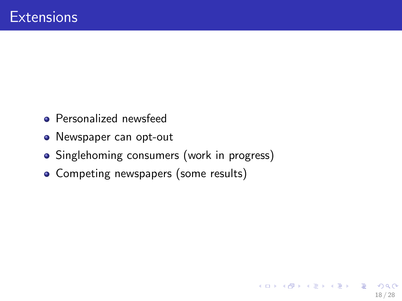- **•** Personalized newsfeed
- Newspaper can opt-out
- Singlehoming consumers (work in progress)
- Competing newspapers (some results)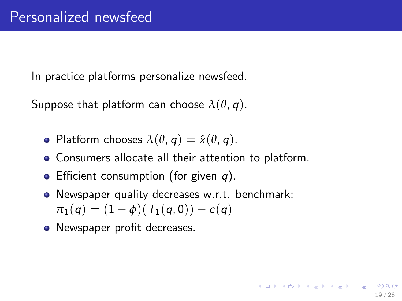In practice platforms personalize newsfeed.

Suppose that platform can choose  $\lambda(\theta, q)$ .

- Platform chooses  $\lambda(\theta, q) = \hat{x}(\theta, q)$ .
- Consumers allocate all their attention to platform.
- **•** Efficient consumption (for given  $q$ ).
- Newspaper quality decreases w.r.t. benchmark:  $\pi_1(q) = (1 - \phi)(T_1(q, 0)) - c(q)$

19 / 28

K ロ ▶ K @ ▶ K 글 ▶ K 글 ▶ │ 글 │ ◆ Q Q <mark>Q</mark>

Newspaper profit decreases.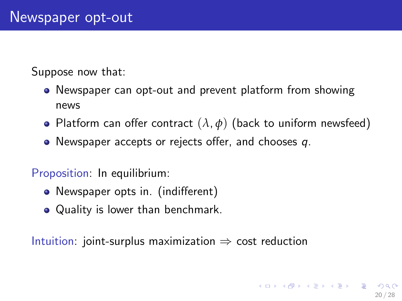Suppose now that:

- Newspaper can opt-out and prevent platform from showing news
- Platform can offer contract  $(\lambda, \phi)$  (back to uniform newsfeed)
- $\bullet$  Newspaper accepts or rejects offer, and chooses q.

Proposition: In equilibrium:

- Newspaper opts in. (indifferent)
- Quality is lower than benchmark.

Intuition: joint-surplus maximization  $\Rightarrow$  cost reduction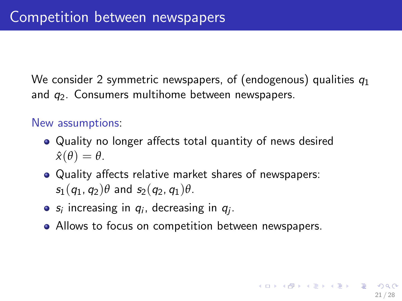We consider 2 symmetric newspapers, of (endogenous) qualities  $q_1$ and  $q_2$ . Consumers multihome between newspapers.

#### New assumptions:

- Quality no longer affects total quantity of news desired  $\hat{\mathsf{x}}(\theta) = \theta.$
- Quality affects relative market shares of newspapers:  $s_1(q_1, q_2)\theta$  and  $s_2(q_2, q_1)\theta$ .
- $s_i$  increasing in  $q_i$ , decreasing in  $q_j$ .
- Allows to focus on competition between newspapers.

21 / 28

K ロ ▶ K @ ▶ K 할 > K 할 > → 할 → ⊙ Q ⊙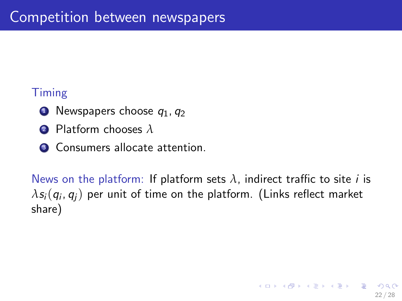# Timing

- $\bullet$  Newspapers choose  $q_1, q_2$
- <sup>2</sup> Platform chooses *λ*
- **3** Consumers allocate attention.

News on the platform: If platform sets  $\lambda$ , indirect traffic to site *i* is  $\lambda s_{i}(q_{i},q_{j})$  per unit of time on the platform. (Links reflect market share)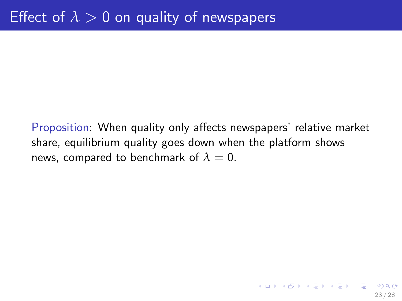Proposition: When quality only affects newspapers' relative market share, equilibrium quality goes down when the platform shows news, compared to benchmark of  $\lambda = 0$ .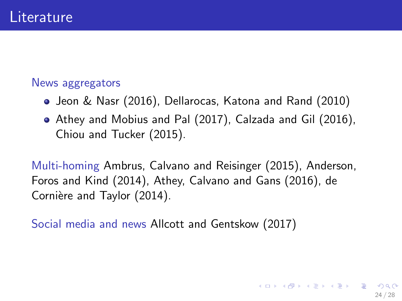#### News aggregators

- Jeon & Nasr (2016), Dellarocas, Katona and Rand (2010)
- Athey and Mobius and Pal (2017), Calzada and Gil (2016), Chiou and Tucker (2015).

Multi-homing Ambrus, Calvano and Reisinger (2015), Anderson, Foros and Kind (2014), Athey, Calvano and Gans (2016), de Cornière and Taylor (2014).

Social media and news Allcott and Gentskow (2017)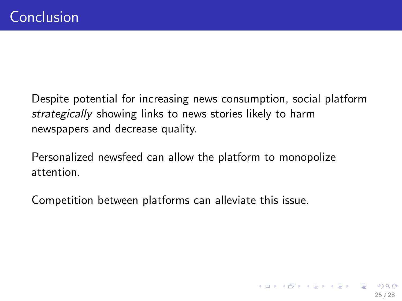Despite potential for increasing news consumption, social platform strategically showing links to news stories likely to harm newspapers and decrease quality.

Personalized newsfeed can allow the platform to monopolize attention.

Competition between platforms can alleviate this issue.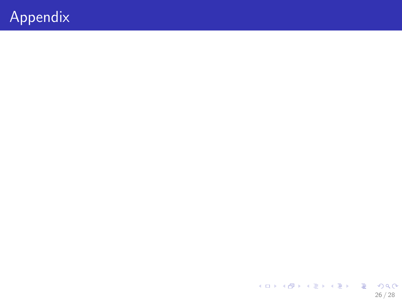# Appendix

メロトメタトメミトメミト ミニのダび 26 / 28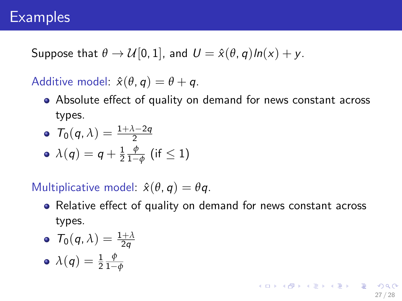# **Examples**

Suppose that  $\theta \to \mathcal{U}[0,1]$ , and  $U = \hat{x}(\theta, q) \ln(x) + y$ .

Additive model:  $\hat{x}(\theta, q) = \theta + q$ .

Absolute effect of quality on demand for news constant across types.

• 
$$
T_0(q,\lambda) = \frac{1+\lambda-2q}{2}
$$

• 
$$
\lambda(q) = q + \frac{1}{2} \frac{\phi}{1-\phi}
$$
 (if  $\leq 1$ )

Multiplicative model:  $\hat{x}(\theta, q) = \theta q$ .

• Relative effect of quality on demand for news constant across types.

• 
$$
T_0(q,\lambda) = \frac{1+\lambda}{2q}
$$

$$
\bullet\,\,\lambda(q)=\tfrac{1}{2}\tfrac{\phi}{1-\phi}
$$